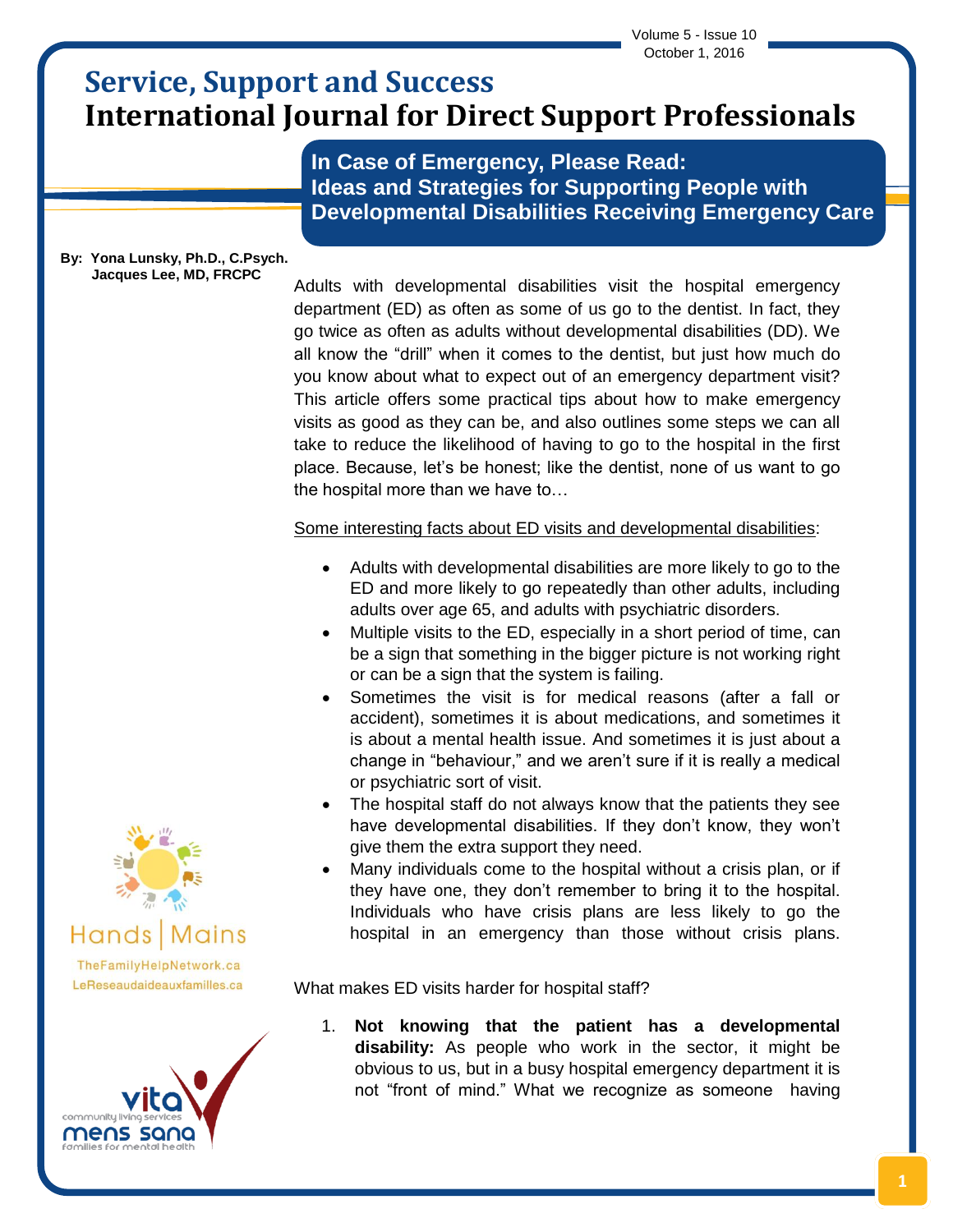Volume 5 - Issue 10 October 1, 2016

# **Service, Support and Success International Journal for Direct Support Professionals**

**In Case of Emergency, Please Read: Ideas and Strategies for Supporting People with Developmental Disabilities Receiving Emergency Care**

#### **By: Yona Lunsky, Ph.D., C.Psych. Jacques Lee, MD, FRCPC**

Adults with developmental disabilities visit the hospital emergency department (ED) as often as some of us go to the dentist. In fact, they go twice as often as adults without developmental disabilities (DD). We all know the "drill" when it comes to the dentist, but just how much do you know about what to expect out of an emergency department visit? This article offers some practical tips about how to make emergency visits as good as they can be, and also outlines some steps we can all take to reduce the likelihood of having to go to the hospital in the first place. Because, let's be honest; like the dentist, none of us want to go the hospital more than we have to…

Some interesting facts about ED visits and developmental disabilities:

- Adults with developmental disabilities are more likely to go to the ED and more likely to go repeatedly than other adults, including adults over age 65, and adults with psychiatric disorders.
- Multiple visits to the ED, especially in a short period of time, can be a sign that something in the bigger picture is not working right or can be a sign that the system is failing.
- Sometimes the visit is for medical reasons (after a fall or accident), sometimes it is about medications, and sometimes it is about a mental health issue. And sometimes it is just about a change in "behaviour," and we aren't sure if it is really a medical or psychiatric sort of visit.
- The hospital staff do not always know that the patients they see have developmental disabilities. If they don't know, they won't give them the extra support they need.
- Many individuals come to the hospital without a crisis plan, or if they have one, they don't remember to bring it to the hospital. Individuals who have crisis plans are less likely to go the hospital in an emergency than those without crisis plans.

What makes ED visits harder for hospital staff?

1. **Not knowing that the patient has a developmental disability:** As people who work in the sector, it might be obvious to us, but in a busy hospital emergency department it is not "front of mind." What we recognize as someone having



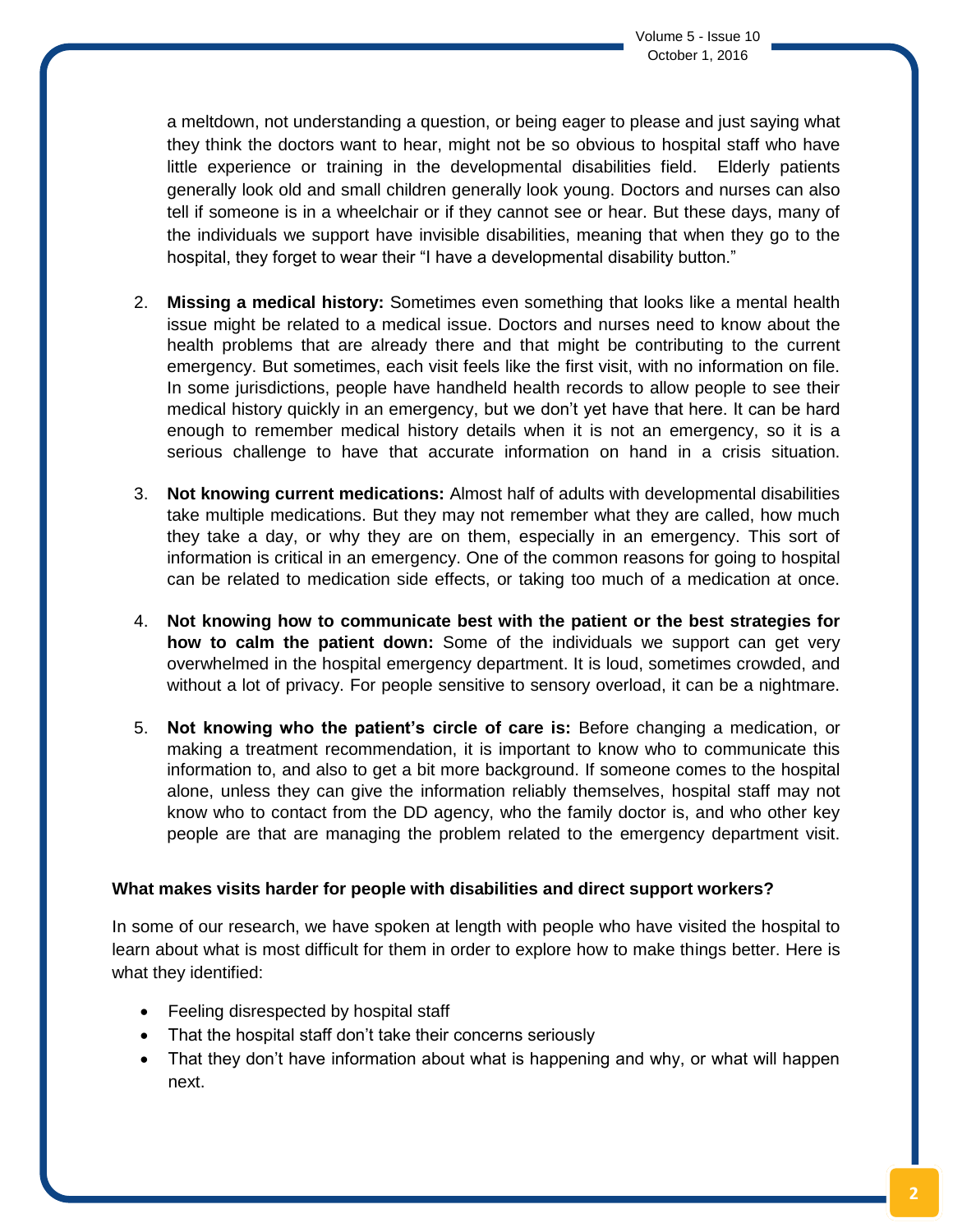a meltdown, not understanding a question, or being eager to please and just saying what they think the doctors want to hear, might not be so obvious to hospital staff who have little experience or training in the developmental disabilities field. Elderly patients generally look old and small children generally look young. Doctors and nurses can also tell if someone is in a wheelchair or if they cannot see or hear. But these days, many of the individuals we support have invisible disabilities, meaning that when they go to the hospital, they forget to wear their "I have a developmental disability button."

- 2. **Missing a medical history:** Sometimes even something that looks like a mental health issue might be related to a medical issue. Doctors and nurses need to know about the health problems that are already there and that might be contributing to the current emergency. But sometimes, each visit feels like the first visit, with no information on file. In some jurisdictions, people have handheld health records to allow people to see their medical history quickly in an emergency, but we don't yet have that here. It can be hard enough to remember medical history details when it is not an emergency, so it is a serious challenge to have that accurate information on hand in a crisis situation.
- 3. **Not knowing current medications:** Almost half of adults with developmental disabilities take multiple medications. But they may not remember what they are called, how much they take a day, or why they are on them, especially in an emergency. This sort of information is critical in an emergency. One of the common reasons for going to hospital can be related to medication side effects, or taking too much of a medication at once.
- 4. **Not knowing how to communicate best with the patient or the best strategies for how to calm the patient down:** Some of the individuals we support can get very overwhelmed in the hospital emergency department. It is loud, sometimes crowded, and without a lot of privacy. For people sensitive to sensory overload, it can be a nightmare.
- 5. **Not knowing who the patient's circle of care is:** Before changing a medication, or making a treatment recommendation, it is important to know who to communicate this information to, and also to get a bit more background. If someone comes to the hospital alone, unless they can give the information reliably themselves, hospital staff may not know who to contact from the DD agency, who the family doctor is, and who other key people are that are managing the problem related to the emergency department visit.

## **What makes visits harder for people with disabilities and direct support workers?**

In some of our research, we have spoken at length with people who have visited the hospital to learn about what is most difficult for them in order to explore how to make things better. Here is what they identified:

- Feeling disrespected by hospital staff
- That the hospital staff don't take their concerns seriously
- That they don't have information about what is happening and why, or what will happen next.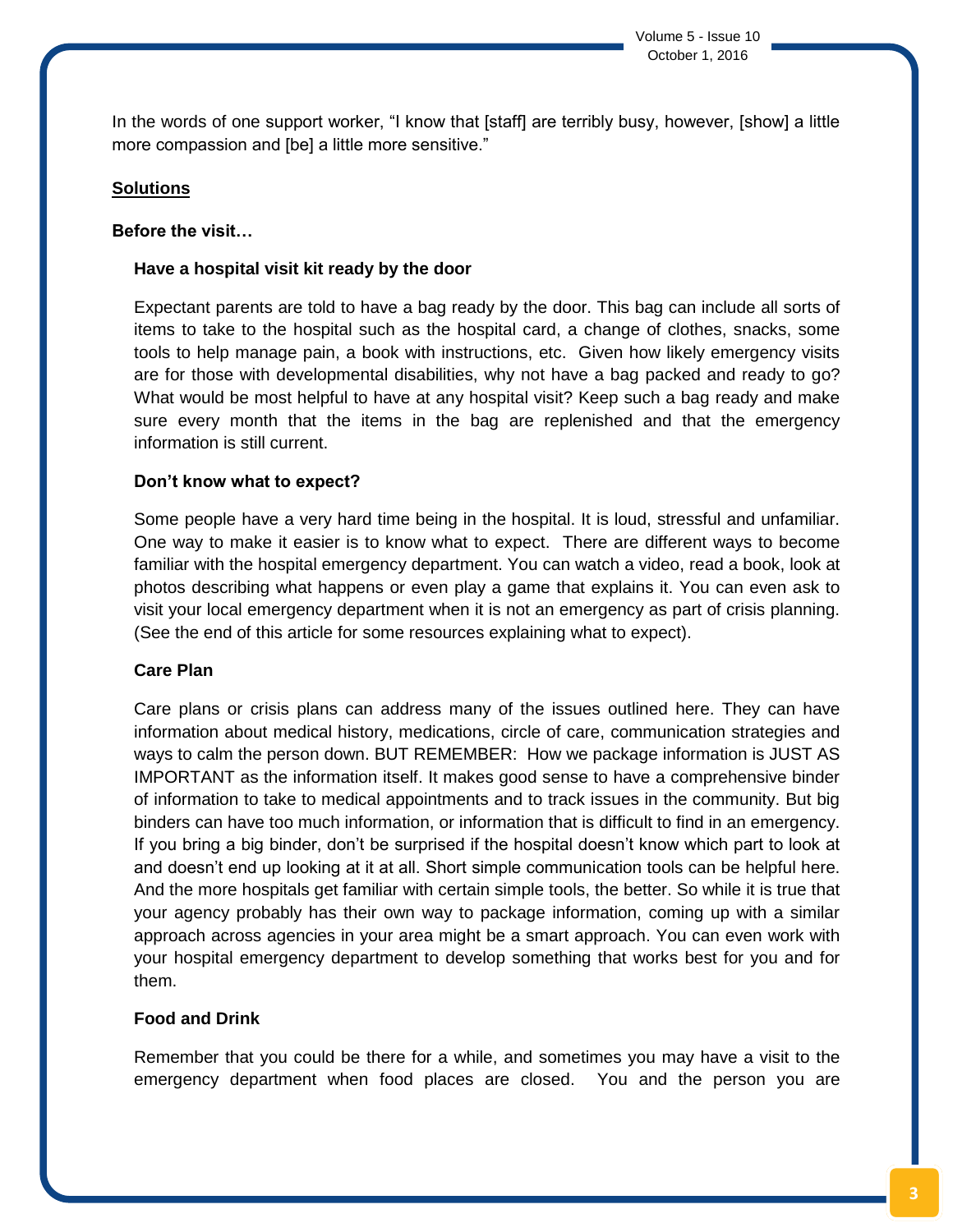In the words of one support worker, "I know that [staff] are terribly busy, however, [show] a little more compassion and [be] a little more sensitive."

### **Solutions**

#### **Before the visit…**

#### **Have a hospital visit kit ready by the door**

Expectant parents are told to have a bag ready by the door. This bag can include all sorts of items to take to the hospital such as the hospital card, a change of clothes, snacks, some tools to help manage pain, a book with instructions, etc. Given how likely emergency visits are for those with developmental disabilities, why not have a bag packed and ready to go? What would be most helpful to have at any hospital visit? Keep such a bag ready and make sure every month that the items in the bag are replenished and that the emergency information is still current.

#### **Don't know what to expect?**

Some people have a very hard time being in the hospital. It is loud, stressful and unfamiliar. One way to make it easier is to know what to expect. There are different ways to become familiar with the hospital emergency department. You can watch a video, read a book, look at photos describing what happens or even play a game that explains it. You can even ask to visit your local emergency department when it is not an emergency as part of crisis planning. (See the end of this article for some resources explaining what to expect).

#### **Care Plan**

Care plans or crisis plans can address many of the issues outlined here. They can have information about medical history, medications, circle of care, communication strategies and ways to calm the person down. BUT REMEMBER: How we package information is JUST AS IMPORTANT as the information itself. It makes good sense to have a comprehensive binder of information to take to medical appointments and to track issues in the community. But big binders can have too much information, or information that is difficult to find in an emergency. If you bring a big binder, don't be surprised if the hospital doesn't know which part to look at and doesn't end up looking at it at all. Short simple communication tools can be helpful here. And the more hospitals get familiar with certain simple tools, the better. So while it is true that your agency probably has their own way to package information, coming up with a similar approach across agencies in your area might be a smart approach. You can even work with your hospital emergency department to develop something that works best for you and for them.

## **Food and Drink**

Remember that you could be there for a while, and sometimes you may have a visit to the emergency department when food places are closed. You and the person you are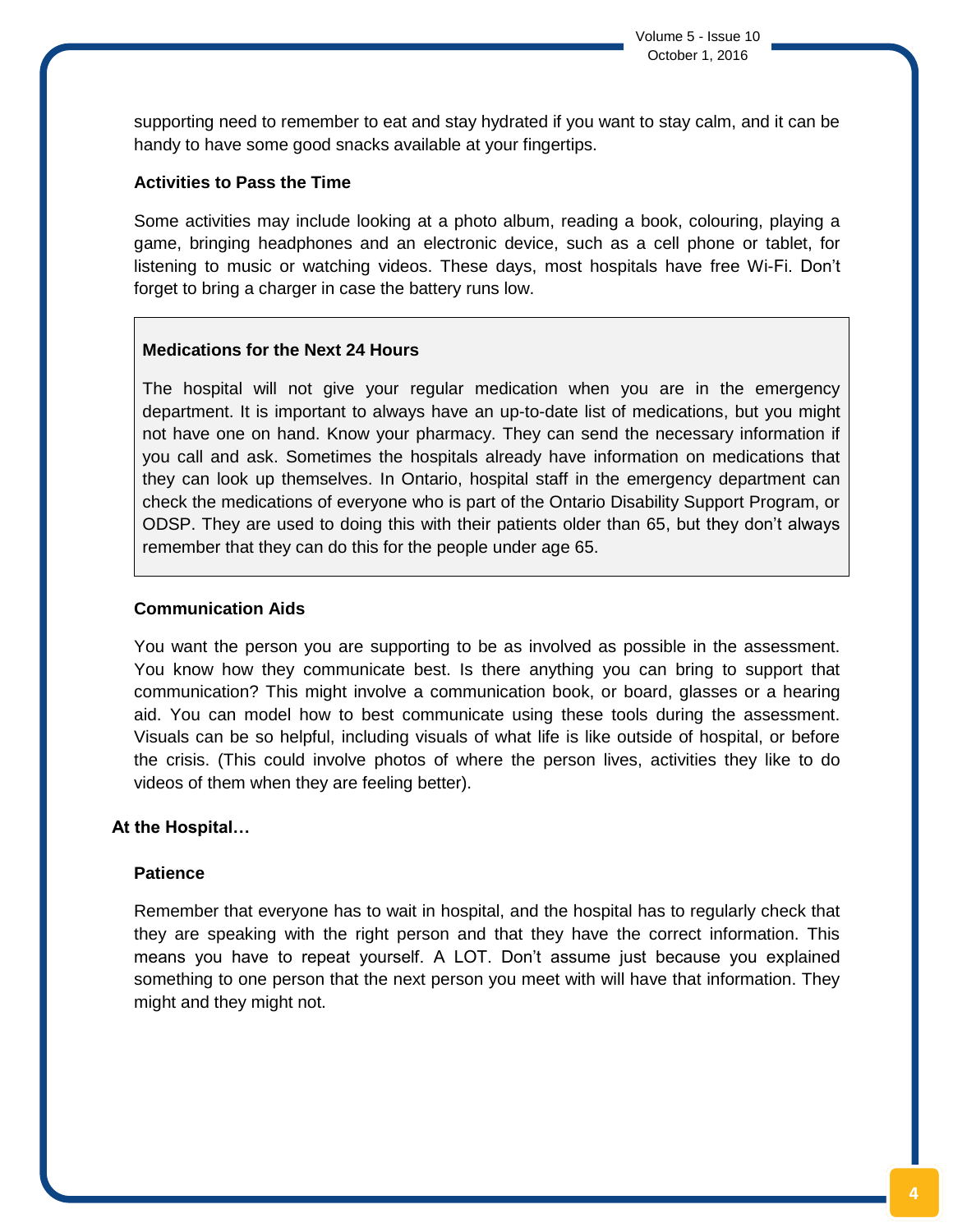supporting need to remember to eat and stay hydrated if you want to stay calm, and it can be handy to have some good snacks available at your fingertips.

## **Activities to Pass the Time**

Some activities may include looking at a photo album, reading a book, colouring, playing a game, bringing headphones and an electronic device, such as a cell phone or tablet, for listening to music or watching videos. These days, most hospitals have free Wi-Fi. Don't forget to bring a charger in case the battery runs low.

## **Medications for the Next 24 Hours**

The hospital will not give your regular medication when you are in the emergency department. It is important to always have an up-to-date list of medications, but you might not have one on hand. Know your pharmacy. They can send the necessary information if you call and ask. Sometimes the hospitals already have information on medications that they can look up themselves. In Ontario, hospital staff in the emergency department can check the medications of everyone who is part of the Ontario Disability Support Program, or ODSP. They are used to doing this with their patients older than 65, but they don't always remember that they can do this for the people under age 65.

## **Communication Aids**

You want the person you are supporting to be as involved as possible in the assessment. You know how they communicate best. Is there anything you can bring to support that communication? This might involve a communication book, or board, glasses or a hearing aid. You can model how to best communicate using these tools during the assessment. Visuals can be so helpful, including visuals of what life is like outside of hospital, or before the crisis. (This could involve photos of where the person lives, activities they like to do videos of them when they are feeling better).

## **At the Hospital…**

## **Patience**

Remember that everyone has to wait in hospital, and the hospital has to regularly check that they are speaking with the right person and that they have the correct information. This means you have to repeat yourself. A LOT. Don't assume just because you explained something to one person that the next person you meet with will have that information. They might and they might not.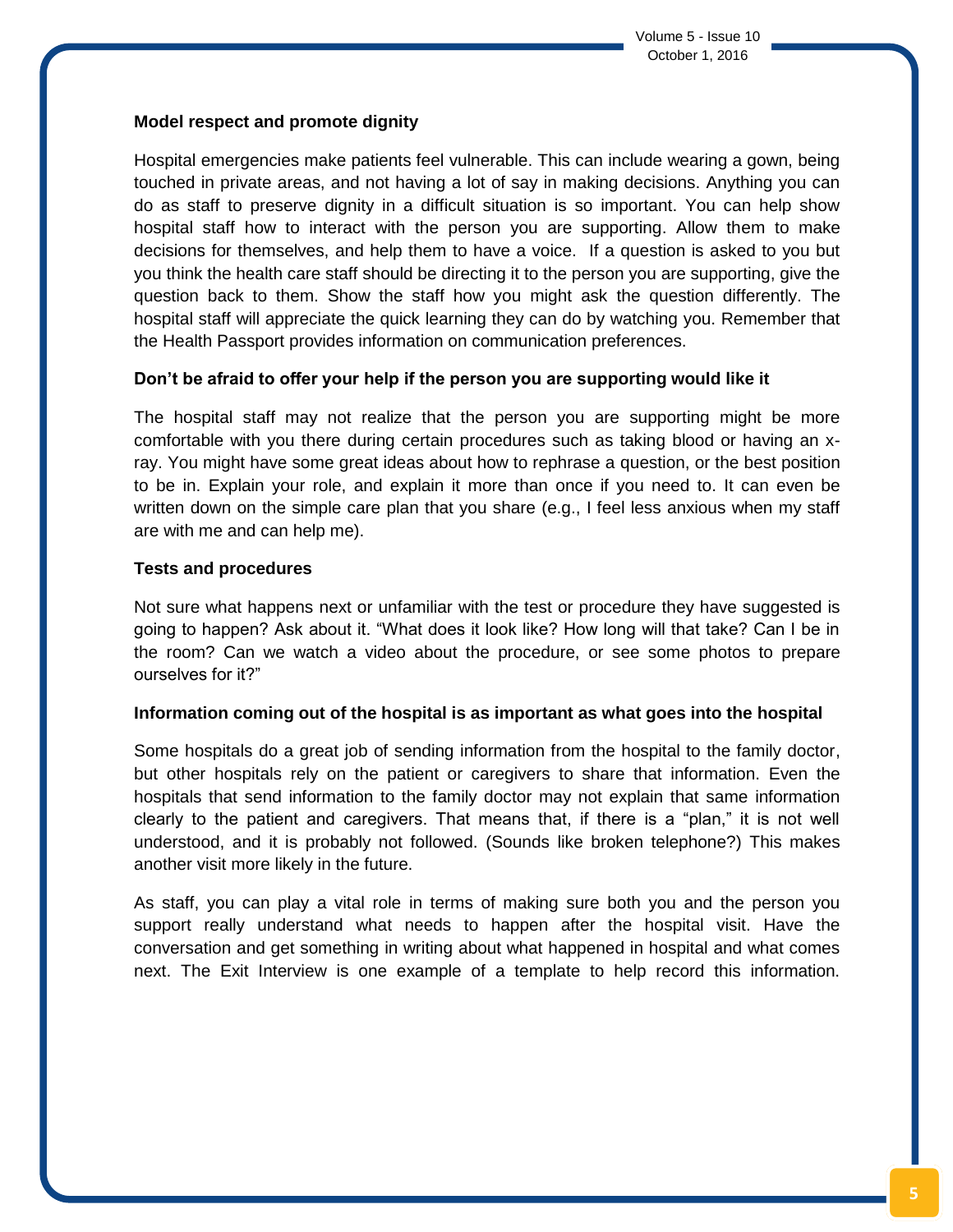## **Model respect and promote dignity**

Hospital emergencies make patients feel vulnerable. This can include wearing a gown, being touched in private areas, and not having a lot of say in making decisions. Anything you can do as staff to preserve dignity in a difficult situation is so important. You can help show hospital staff how to interact with the person you are supporting. Allow them to make decisions for themselves, and help them to have a voice. If a question is asked to you but you think the health care staff should be directing it to the person you are supporting, give the question back to them. Show the staff how you might ask the question differently. The hospital staff will appreciate the quick learning they can do by watching you. Remember that the Health Passport provides information on communication preferences.

## **Don't be afraid to offer your help if the person you are supporting would like it**

The hospital staff may not realize that the person you are supporting might be more comfortable with you there during certain procedures such as taking blood or having an xray. You might have some great ideas about how to rephrase a question, or the best position to be in. Explain your role, and explain it more than once if you need to. It can even be written down on the simple care plan that you share (e.g., I feel less anxious when my staff are with me and can help me).

## **Tests and procedures**

Not sure what happens next or unfamiliar with the test or procedure they have suggested is going to happen? Ask about it. "What does it look like? How long will that take? Can I be in the room? Can we watch a video about the procedure, or see some photos to prepare ourselves for it?"

## **Information coming out of the hospital is as important as what goes into the hospital**

Some hospitals do a great job of sending information from the hospital to the family doctor, but other hospitals rely on the patient or caregivers to share that information. Even the hospitals that send information to the family doctor may not explain that same information clearly to the patient and caregivers. That means that, if there is a "plan," it is not well understood, and it is probably not followed. (Sounds like broken telephone?) This makes another visit more likely in the future.

As staff, you can play a vital role in terms of making sure both you and the person you support really understand what needs to happen after the hospital visit. Have the conversation and get something in writing about what happened in hospital and what comes next. The Exit Interview is one example of a template to help record this information.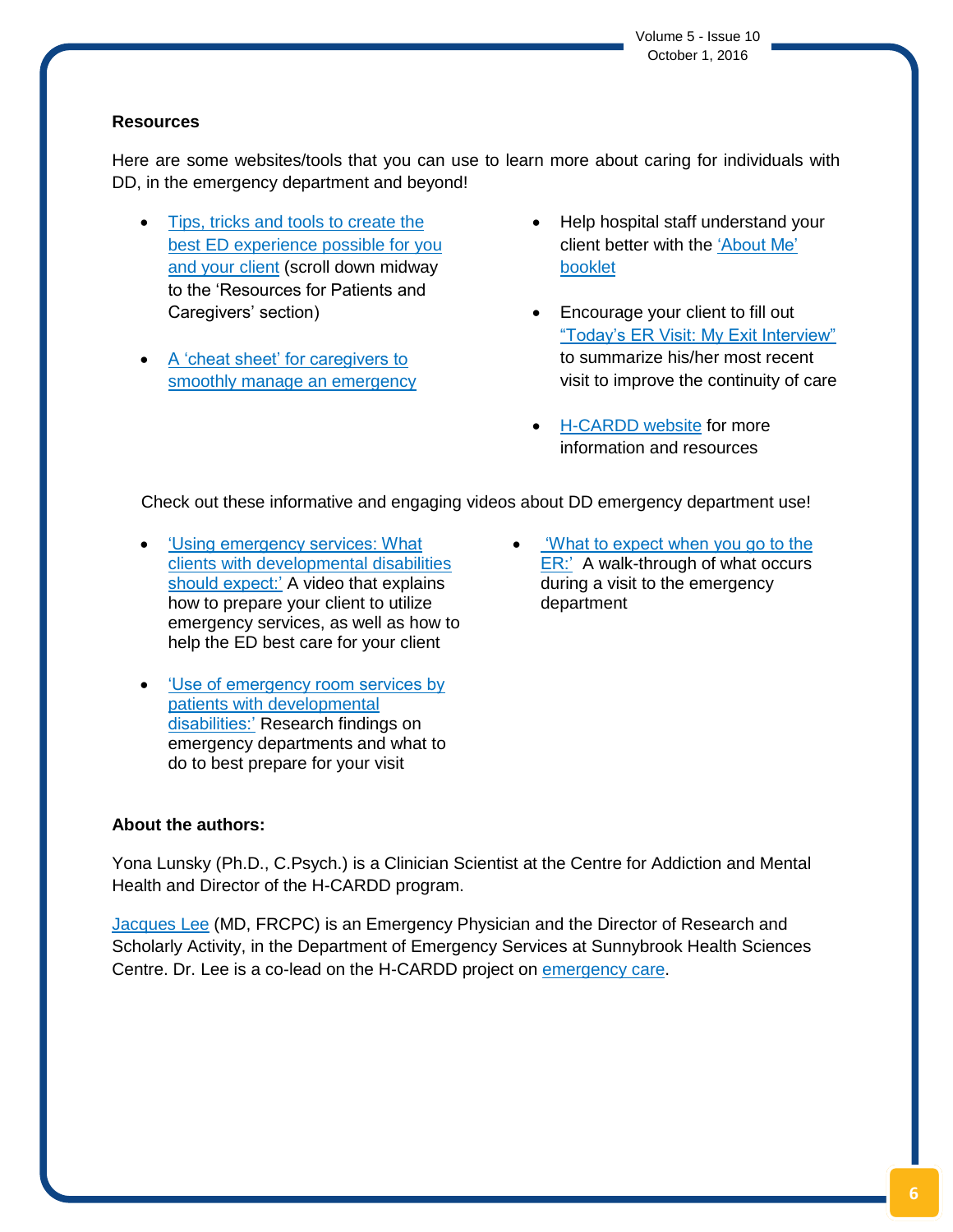Volume 5 - Issue 10 October 1, 2016

## **Resources**

Here are some websites/tools that you can use to learn more about caring for individuals with DD, in the emergency department and beyond!

- [Tips, tricks and tools to create the](https://www.porticonetwork.ca/web/hcardd/kte/emergency-department-toolkit-v2/adapting-clinical-approaches)  [best ED experience possible for you](https://www.porticonetwork.ca/web/hcardd/kte/emergency-department-toolkit-v2/adapting-clinical-approaches)  [and your client](https://www.porticonetwork.ca/web/hcardd/kte/emergency-department-toolkit-v2/adapting-clinical-approaches) (scroll down midway to the 'Resources for Patients and Caregivers' section)
- [A 'cheat sheet' for caregivers to](http://www.surreyplace.on.ca/documents/Primary%20Care/Guidance%20about%20Emergencies%20for%20Caregivers.pdf)  [smoothly manage an emergency](http://www.surreyplace.on.ca/documents/Primary%20Care/Guidance%20about%20Emergencies%20for%20Caregivers.pdf)
- Help hospital staff understand your client better with the ['About Me'](https://www.porticonetwork.ca/documents/38773/60468/About+Me_YM_Large+Print.pdf/b2bf97c4-9b6c-46ea-98dc-2faac4392020)  [booklet](https://www.porticonetwork.ca/documents/38773/60468/About+Me_YM_Large+Print.pdf/b2bf97c4-9b6c-46ea-98dc-2faac4392020)
- Encourage your client to fill out ["Today's ER Visit: My Exit Interview"](https://www.porticonetwork.ca/documents/38160/99698/Exit+InterviewPDF/f11e6ee2-eef5-471e-9950-e3fb16c7bc5c) to summarize his/her most recent visit to improve the continuity of care
- [H-CARDD website](https://www.porticonetwork.ca/web/hcardd) for more information and resources

Check out these informative and engaging videos about DD emergency department use!

- ['Using emergency services: What](https://www.youtube.com/watch?v=E46nj1rI0-s)  [clients with developmental disabilities](https://www.youtube.com/watch?v=E46nj1rI0-s)  [should expect:'](https://www.youtube.com/watch?v=E46nj1rI0-s) A video that explains how to prepare your client to utilize emergency services, as well as how to help the ED best care for your client
- ['Use of emergency room services by](https://www.youtube.com/watch?v=7tmBTntnD40)  [patients with developmental](https://www.youtube.com/watch?v=7tmBTntnD40)  [disabilities:'](https://www.youtube.com/watch?v=7tmBTntnD40) Research findings on emergency departments and what to do to best prepare for your visit

## ['What to expect when you go to the](https://www.youtube.com/watch?v=ChpElet6ENs)  [ER:'](https://www.youtube.com/watch?v=ChpElet6ENs) A walk-through of what occurs during a visit to the emergency department

## **About the authors:**

Yona Lunsky (Ph.D., C.Psych.) is a Clinician Scientist at the Centre for Addiction and Mental Health and Director of the H-CARDD program.

[Jacques Lee](http://sunnybrook.ca/research/team/member.asp?t=11&page=1205&m=104) (MD, FRCPC) is an Emergency Physician and the Director of Research and Scholarly Activity, in the Department of Emergency Services at Sunnybrook Health Sciences Centre. Dr. Lee is a co-lead on the H-CARDD project on [emergency care.](https://www.porticonetwork.ca/web/hcardd/special-topics/emergency-care)